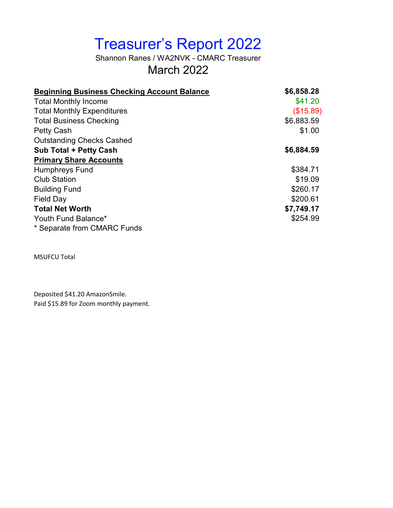# Treasurer's Report 2022

Shannon Ranes / WA2NVK - CMARC Treasurer March 2022

| <b>Beginning Business Checking Account Balance</b> | \$6,858.28 |
|----------------------------------------------------|------------|
| <b>Total Monthly Income</b>                        | \$41.20    |
| <b>Total Monthly Expenditures</b>                  | (\$15.89)  |
| <b>Total Business Checking</b>                     | \$6,883.59 |
| <b>Petty Cash</b>                                  | \$1.00     |
| <b>Outstanding Checks Cashed</b>                   |            |
| <b>Sub Total + Petty Cash</b>                      | \$6,884.59 |
| <b>Primary Share Accounts</b>                      |            |
| <b>Humphreys Fund</b>                              | \$384.71   |
| <b>Club Station</b>                                | \$19.09    |
| <b>Building Fund</b>                               | \$260.17   |
| <b>Field Day</b>                                   | \$200.61   |
| <b>Total Net Worth</b>                             | \$7,749.17 |
| Youth Fund Balance*                                | \$254.99   |
| * Separate from CMARC Funds                        |            |

MSUFCU Total

Deposited \$41.20 AmazonSmile. Paid \$15.89 for Zoom monthly payment.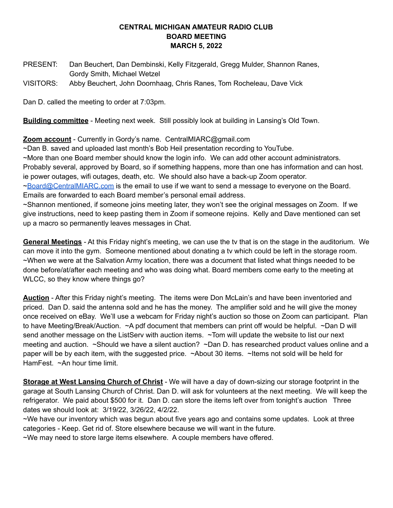#### **CENTRAL MICHIGAN AMATEUR RADIO CLUB BOARD MEETING MARCH 5, 2022**

PRESENT: Dan Beuchert, Dan Dembinski, Kelly Fitzgerald, Gregg Mulder, Shannon Ranes, Gordy Smith, Michael Wetzel

VISITORS: Abby Beuchert, John Doornhaag, Chris Ranes, Tom Rocheleau, Dave Vick

Dan D. called the meeting to order at 7:03pm.

**Building committee** - Meeting next week. Still possibly look at building in Lansing's Old Town.

**Zoom account** - Currently in Gordy's name. CentralMIARC@gmail.com

~Dan B. saved and uploaded last month's Bob Heil presentation recording to YouTube.

~More than one Board member should know the login info. We can add other account administrators. Probably several, approved by Board, so if something happens, more than one has information and can host.

ie power outages, wifi outages, death, etc. We should also have a back-up Zoom operator.

[~Board@CentralMIARC.com](mailto:Board@CentralMIARC.com) is the email to use if we want to send a message to everyone on the Board. Emails are forwarded to each Board member's personal email address.

~Shannon mentioned, if someone joins meeting later, they won't see the original messages on Zoom. If we give instructions, need to keep pasting them in Zoom if someone rejoins. Kelly and Dave mentioned can set up a macro so permanently leaves messages in Chat.

**General Meetings** - At this Friday night's meeting, we can use the tv that is on the stage in the auditorium. We can move it into the gym. Someone mentioned about donating a tv which could be left in the storage room. ~When we were at the Salvation Army location, there was a document that listed what things needed to be done before/at/after each meeting and who was doing what. Board members come early to the meeting at WLCC, so they know where things go?

**Auction** - After this Friday night's meeting. The items were Don McLain's and have been inventoried and priced. Dan D. said the antenna sold and he has the money. The amplifier sold and he will give the money once received on eBay. We'll use a webcam for Friday night's auction so those on Zoom can participant. Plan to have Meeting/Break/Auction. ~A pdf document that members can print off would be helpful. ~Dan D will send another message on the ListServ with auction items. ~Tom will update the website to list our next meeting and auction. ~Should we have a silent auction? ~Dan D. has researched product values online and a paper will be by each item, with the suggested price. ~About 30 items. ~Items not sold will be held for HamFest. ~An hour time limit.

**Storage at West Lansing Church of Christ** - We will have a day of down-sizing our storage footprint in the garage at South Lansing Church of Christ. Dan D. will ask for volunteers at the next meeting. We will keep the refrigerator. We paid about \$500 for it. Dan D. can store the items left over from tonight's auction Three dates we should look at: 3/19/22, 3/26/22, 4/2/22.

~We have our inventory which was begun about five years ago and contains some updates. Look at three categories - Keep. Get rid of. Store elsewhere because we will want in the future.

~We may need to store large items elsewhere. A couple members have offered.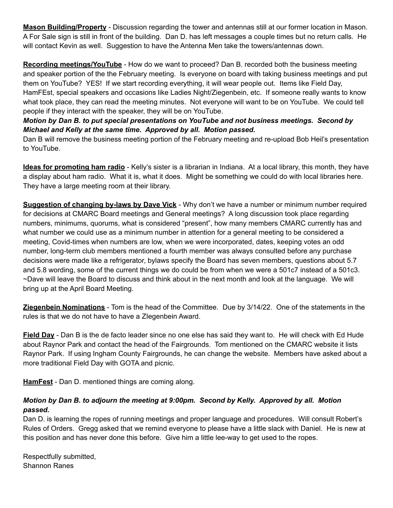**Mason Building/Property** - Discussion regarding the tower and antennas still at our former location in Mason. A For Sale sign is still in front of the building. Dan D. has left messages a couple times but no return calls. He will contact Kevin as well. Suggestion to have the Antenna Men take the towers/antennas down.

**Recording meetings/YouTube** - How do we want to proceed? Dan B. recorded both the business meeting and speaker portion of the the February meeting. Is everyone on board with taking business meetings and put them on YouTube? YES! If we start recording everything, it will wear people out. Items like Field Day, HamFEst, special speakers and occasions like Ladies Night/Ziegenbein, etc. If someone really wants to know what took place, they can read the meeting minutes. Not everyone will want to be on YouTube. We could tell people if they interact with the speaker, they will be on YouTube.

*Motion by Dan B. to put special presentations on YouTube and not business meetings. Second by Michael and Kelly at the same time. Approved by all. Motion passed.*

Dan B will remove the business meeting portion of the February meeting and re-upload Bob Heil's presentation to YouTube.

**Ideas for promoting ham radio** - Kelly's sister is a librarian in Indiana. At a local library, this month, they have a display about ham radio. What it is, what it does. Might be something we could do with local libraries here. They have a large meeting room at their library.

**Suggestion of changing by-laws by Dave Vick** - Why don't we have a number or minimum number required for decisions at CMARC Board meetings and General meetings? A long discussion took place regarding numbers, minimums, quorums, what is considered "present", how many members CMARC currently has and what number we could use as a minimum number in attention for a general meeting to be considered a meeting, Covid-times when numbers are low, when we were incorporated, dates, keeping votes an odd number, long-term club members mentioned a fourth member was always consulted before any purchase decisions were made like a refrigerator, bylaws specify the Board has seven members, questions about 5.7 and 5.8 wording, some of the current things we do could be from when we were a 501c7 instead of a 501c3. ~Dave will leave the Board to discuss and think about in the next month and look at the language. We will bring up at the April Board Meeting.

**Ziegenbein Nominations** - Tom is the head of the Committee. Due by 3/14/22. One of the statements in the rules is that we do not have to have a ZIegenbein Award.

**Field Day** - Dan B is the de facto leader since no one else has said they want to. He will check with Ed Hude about Raynor Park and contact the head of the Fairgrounds. Tom mentioned on the CMARC website it lists Raynor Park. If using Ingham County Fairgrounds, he can change the website. Members have asked about a more traditional Field Day with GOTA and picnic.

**HamFest** - Dan D. mentioned things are coming along.

### *Motion by Dan B. to adjourn the meeting at 9:00pm. Second by Kelly. Approved by all. Motion passed.*

Dan D. is learning the ropes of running meetings and proper language and procedures. Will consult Robert's Rules of Orders. Gregg asked that we remind everyone to please have a little slack with Daniel. He is new at this position and has never done this before. Give him a little lee-way to get used to the ropes.

Respectfully submitted, Shannon Ranes